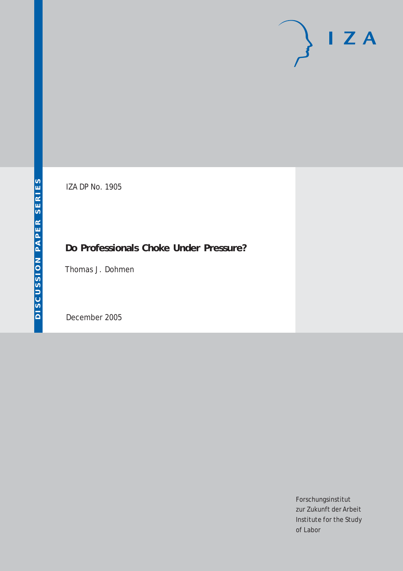# $\mathsf{I}$  Z A

IZA DP No. 1905

# **Do Professionals Choke Under Pressure?**

Thomas J. Dohmen

December 2005

Forschungsinstitut zur Zukunft der Arbeit Institute for the Study of Labor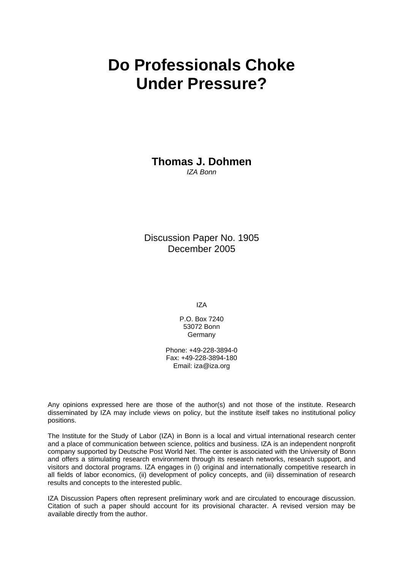# **Do Professionals Choke Under Pressure?**

**Thomas J. Dohmen** 

*IZA Bonn* 

Discussion Paper No. 1905 December 2005

IZA

P.O. Box 7240 53072 Bonn Germany

Phone: +49-228-3894-0 Fax: +49-228-3894-180 Email: [iza@iza.org](mailto:iza@iza.org)

Any opinions expressed here are those of the author(s) and not those of the institute. Research disseminated by IZA may include views on policy, but the institute itself takes no institutional policy positions.

The Institute for the Study of Labor (IZA) in Bonn is a local and virtual international research center and a place of communication between science, politics and business. IZA is an independent nonprofit company supported by Deutsche Post World Net. The center is associated with the University of Bonn and offers a stimulating research environment through its research networks, research support, and visitors and doctoral programs. IZA engages in (i) original and internationally competitive research in all fields of labor economics, (ii) development of policy concepts, and (iii) dissemination of research results and concepts to the interested public.

IZA Discussion Papers often represent preliminary work and are circulated to encourage discussion. Citation of such a paper should account for its provisional character. A revised version may be available directly from the author.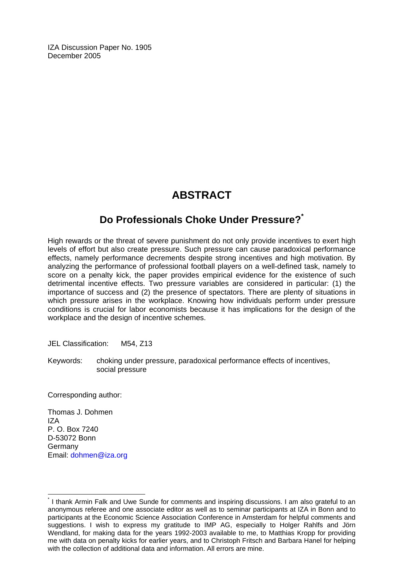IZA Discussion Paper No. 1905 December 2005

# **ABSTRACT**

# **Do Professionals Choke Under Pressure?[\\*](#page-2-0)**

High rewards or the threat of severe punishment do not only provide incentives to exert high levels of effort but also create pressure. Such pressure can cause paradoxical performance effects, namely performance decrements despite strong incentives and high motivation. By analyzing the performance of professional football players on a well-defined task, namely to score on a penalty kick, the paper provides empirical evidence for the existence of such detrimental incentive effects. Two pressure variables are considered in particular: (1) the importance of success and (2) the presence of spectators. There are plenty of situations in which pressure arises in the workplace. Knowing how individuals perform under pressure conditions is crucial for labor economists because it has implications for the design of the workplace and the design of incentive schemes.

JEL Classification: M54, Z13

Keywords: choking under pressure, paradoxical performance effects of incentives, social pressure

Corresponding author:

Thomas J. Dohmen IZA P. O. Box 7240 D-53072 Bonn Germany Email: [dohmen@iza.org](mailto:dohmen@iza.org)

 $\overline{a}$ 

<span id="page-2-0"></span><sup>\*</sup> I thank Armin Falk and Uwe Sunde for comments and inspiring discussions. I am also grateful to an anonymous referee and one associate editor as well as to seminar participants at IZA in Bonn and to participants at the Economic Science Association Conference in Amsterdam for helpful comments and suggestions. I wish to express my gratitude to IMP AG, especially to Holger Rahlfs and Jörn Wendland, for making data for the years 1992-2003 available to me, to Matthias Kropp for providing me with data on penalty kicks for earlier years, and to Christoph Fritsch and Barbara Hanel for helping with the collection of additional data and information. All errors are mine.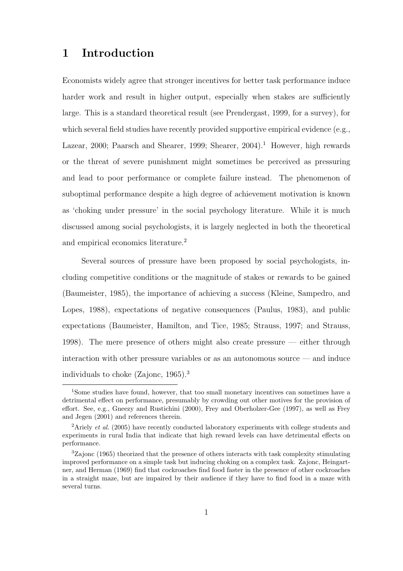# **1 Introduction**

Economists widely agree that stronger incentives for better task performance induce harder work and result in higher output, especially when stakes are sufficiently large. This is a standard theoretical result (see Prendergast, 1999, for a survey), for which several field studies have recently provided supportive empirical evidence (e.g., Lazear, 2000; Paarsch and Shearer, 1999; Shearer, 2004).<sup>1</sup> However, high rewards or the threat of severe punishment might sometimes be perceived as pressuring and lead to poor performance or complete failure instead. The phenomenon of suboptimal performance despite a high degree of achievement motivation is known as 'choking under pressure' in the social psychology literature. While it is much discussed among social psychologists, it is largely neglected in both the theoretical and empirical economics literature.<sup>2</sup>

Several sources of pressure have been proposed by social psychologists, including competitive conditions or the magnitude of stakes or rewards to be gained (Baumeister, 1985), the importance of achieving a success (Kleine, Sampedro, and Lopes, 1988), expectations of negative consequences (Paulus, 1983), and public expectations (Baumeister, Hamilton, and Tice, 1985; Strauss, 1997; and Strauss, 1998). The mere presence of others might also create pressure — either through interaction with other pressure variables or as an autonomous source — and induce individuals to choke (Zajonc, 1965).<sup>3</sup>

<sup>1</sup>Some studies have found, however, that too small monetary incentives can sometimes have a detrimental effect on performance, presumably by crowding out other motives for the provision of effort. See, e.g., Gneezy and Rustichini (2000), Frey and Oberholzer-Gee (1997), as well as Frey and Jegen (2001) and references therein.

<sup>&</sup>lt;sup>2</sup>Ariely *et al.* (2005) have recently conducted laboratory experiments with college students and experiments in rural India that indicate that high reward levels can have detrimental effects on performance.

<sup>3</sup>Zajonc (1965) theorized that the presence of others interacts with task complexity stimulating improved performance on a simple task but inducing choking on a complex task. Zajonc, Heingartner, and Herman (1969) find that cockroaches find food faster in the presence of other cockroaches in a straight maze, but are impaired by their audience if they have to find food in a maze with several turns.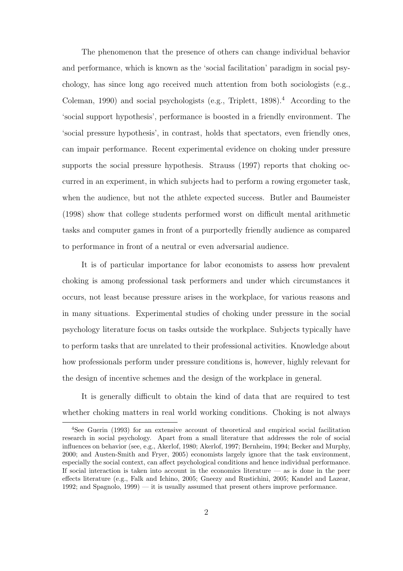The phenomenon that the presence of others can change individual behavior and performance, which is known as the 'social facilitation' paradigm in social psychology, has since long ago received much attention from both sociologists (e.g., Coleman, 1990) and social psychologists (e.g., Triplett,  $1898$ ).<sup>4</sup> According to the 'social support hypothesis', performance is boosted in a friendly environment. The 'social pressure hypothesis', in contrast, holds that spectators, even friendly ones, can impair performance. Recent experimental evidence on choking under pressure supports the social pressure hypothesis. Strauss (1997) reports that choking occurred in an experiment, in which subjects had to perform a rowing ergometer task, when the audience, but not the athlete expected success. Butler and Baumeister (1998) show that college students performed worst on difficult mental arithmetic tasks and computer games in front of a purportedly friendly audience as compared to performance in front of a neutral or even adversarial audience.

It is of particular importance for labor economists to assess how prevalent choking is among professional task performers and under which circumstances it occurs, not least because pressure arises in the workplace, for various reasons and in many situations. Experimental studies of choking under pressure in the social psychology literature focus on tasks outside the workplace. Subjects typically have to perform tasks that are unrelated to their professional activities. Knowledge about how professionals perform under pressure conditions is, however, highly relevant for the design of incentive schemes and the design of the workplace in general.

It is generally difficult to obtain the kind of data that are required to test whether choking matters in real world working conditions. Choking is not always

<sup>4</sup>See Guerin (1993) for an extensive account of theoretical and empirical social facilitation research in social psychology. Apart from a small literature that addresses the role of social influences on behavior (see, e.g., Akerlof, 1980; Akerlof, 1997; Bernheim, 1994; Becker and Murphy, 2000; and Austen-Smith and Fryer, 2005) economists largely ignore that the task environment, especially the social context, can affect psychological conditions and hence individual performance. If social interaction is taken into account in the economics literature — as is done in the peer effects literature (e.g., Falk and Ichino, 2005; Gneezy and Rustichini, 2005; Kandel and Lazear, 1992; and Spagnolo, 1999) — it is usually assumed that present others improve performance.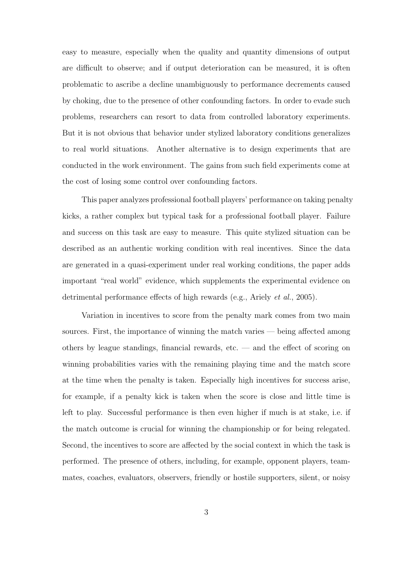easy to measure, especially when the quality and quantity dimensions of output are difficult to observe; and if output deterioration can be measured, it is often problematic to ascribe a decline unambiguously to performance decrements caused by choking, due to the presence of other confounding factors. In order to evade such problems, researchers can resort to data from controlled laboratory experiments. But it is not obvious that behavior under stylized laboratory conditions generalizes to real world situations. Another alternative is to design experiments that are conducted in the work environment. The gains from such field experiments come at the cost of losing some control over confounding factors.

This paper analyzes professional football players' performance on taking penalty kicks, a rather complex but typical task for a professional football player. Failure and success on this task are easy to measure. This quite stylized situation can be described as an authentic working condition with real incentives. Since the data are generated in a quasi-experiment under real working conditions, the paper adds important "real world" evidence, which supplements the experimental evidence on detrimental performance effects of high rewards (e.g., Ariely *et al.*, 2005).

Variation in incentives to score from the penalty mark comes from two main sources. First, the importance of winning the match varies — being affected among others by league standings, financial rewards, etc. — and the effect of scoring on winning probabilities varies with the remaining playing time and the match score at the time when the penalty is taken. Especially high incentives for success arise, for example, if a penalty kick is taken when the score is close and little time is left to play. Successful performance is then even higher if much is at stake, i.e. if the match outcome is crucial for winning the championship or for being relegated. Second, the incentives to score are affected by the social context in which the task is performed. The presence of others, including, for example, opponent players, teammates, coaches, evaluators, observers, friendly or hostile supporters, silent, or noisy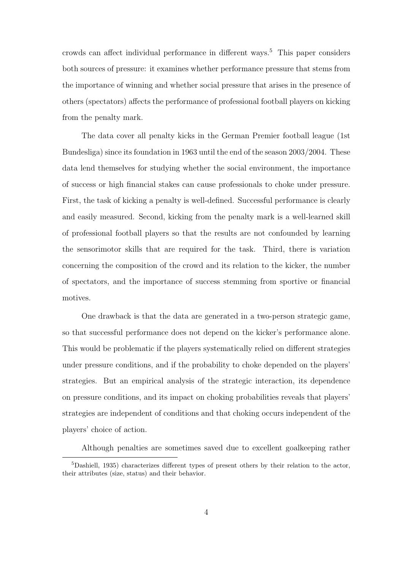crowds can affect individual performance in different ways.<sup>5</sup> This paper considers both sources of pressure: it examines whether performance pressure that stems from the importance of winning and whether social pressure that arises in the presence of others (spectators) affects the performance of professional football players on kicking from the penalty mark.

The data cover all penalty kicks in the German Premier football league (1st Bundesliga) since its foundation in 1963 until the end of the season 2003/2004. These data lend themselves for studying whether the social environment, the importance of success or high financial stakes can cause professionals to choke under pressure. First, the task of kicking a penalty is well-defined. Successful performance is clearly and easily measured. Second, kicking from the penalty mark is a well-learned skill of professional football players so that the results are not confounded by learning the sensorimotor skills that are required for the task. Third, there is variation concerning the composition of the crowd and its relation to the kicker, the number of spectators, and the importance of success stemming from sportive or financial motives.

One drawback is that the data are generated in a two-person strategic game, so that successful performance does not depend on the kicker's performance alone. This would be problematic if the players systematically relied on different strategies under pressure conditions, and if the probability to choke depended on the players' strategies. But an empirical analysis of the strategic interaction, its dependence on pressure conditions, and its impact on choking probabilities reveals that players' strategies are independent of conditions and that choking occurs independent of the players' choice of action.

Although penalties are sometimes saved due to excellent goalkeeping rather

<sup>5</sup>Dashiell, 1935) characterizes different types of present others by their relation to the actor, their attributes (size, status) and their behavior.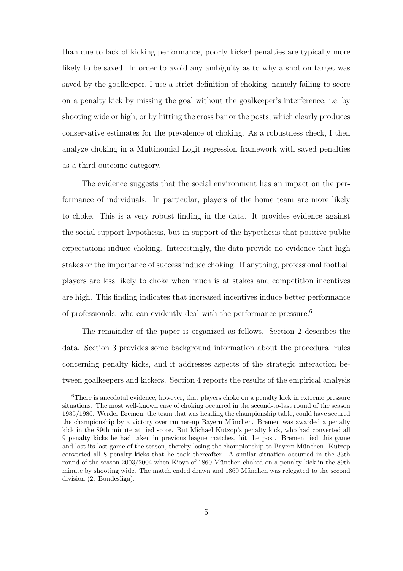than due to lack of kicking performance, poorly kicked penalties are typically more likely to be saved. In order to avoid any ambiguity as to why a shot on target was saved by the goalkeeper, I use a strict definition of choking, namely failing to score on a penalty kick by missing the goal without the goalkeeper's interference, i.e. by shooting wide or high, or by hitting the cross bar or the posts, which clearly produces conservative estimates for the prevalence of choking. As a robustness check, I then analyze choking in a Multinomial Logit regression framework with saved penalties as a third outcome category.

The evidence suggests that the social environment has an impact on the performance of individuals. In particular, players of the home team are more likely to choke. This is a very robust finding in the data. It provides evidence against the social support hypothesis, but in support of the hypothesis that positive public expectations induce choking. Interestingly, the data provide no evidence that high stakes or the importance of success induce choking. If anything, professional football players are less likely to choke when much is at stakes and competition incentives are high. This finding indicates that increased incentives induce better performance of professionals, who can evidently deal with the performance pressure.<sup>6</sup>

The remainder of the paper is organized as follows. Section 2 describes the data. Section 3 provides some background information about the procedural rules concerning penalty kicks, and it addresses aspects of the strategic interaction between goalkeepers and kickers. Section 4 reports the results of the empirical analysis

 $6$ There is anecdotal evidence, however, that players choke on a penalty kick in extreme pressure situations. The most well-known case of choking occurred in the second-to-last round of the season 1985/1986. Werder Bremen, the team that was heading the championship table, could have secured the championship by a victory over runner-up Bayern München. Bremen was awarded a penalty kick in the 89th minute at tied score. But Michael Kutzop's penalty kick, who had converted all 9 penalty kicks he had taken in previous league matches, hit the post. Bremen tied this game and lost its last game of the season, thereby losing the championship to Bayern München. Kutzop converted all 8 penalty kicks that he took thereafter. A similar situation occurred in the 33th round of the season 2003/2004 when Kioyo of 1860 München choked on a penalty kick in the 89th minute by shooting wide. The match ended drawn and 1860 München was relegated to the second division (2. Bundesliga).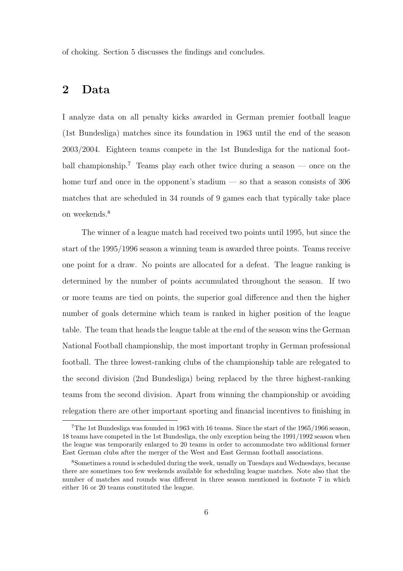of choking. Section 5 discusses the findings and concludes.

# **2 Data**

I analyze data on all penalty kicks awarded in German premier football league (1st Bundesliga) matches since its foundation in 1963 until the end of the season 2003/2004. Eighteen teams compete in the 1st Bundesliga for the national football championship.<sup>7</sup> Teams play each other twice during a season — once on the home turf and once in the opponent's stadium — so that a season consists of 306 matches that are scheduled in 34 rounds of 9 games each that typically take place on weekends.<sup>8</sup>

The winner of a league match had received two points until 1995, but since the start of the 1995/1996 season a winning team is awarded three points. Teams receive one point for a draw. No points are allocated for a defeat. The league ranking is determined by the number of points accumulated throughout the season. If two or more teams are tied on points, the superior goal difference and then the higher number of goals determine which team is ranked in higher position of the league table. The team that heads the league table at the end of the season wins the German National Football championship, the most important trophy in German professional football. The three lowest-ranking clubs of the championship table are relegated to the second division (2nd Bundesliga) being replaced by the three highest-ranking teams from the second division. Apart from winning the championship or avoiding relegation there are other important sporting and financial incentives to finishing in

<sup>7</sup>The 1st Bundesliga was founded in 1963 with 16 teams. Since the start of the 1965/1966 season, 18 teams have competed in the 1st Bundesliga, the only exception being the 1991/1992 season when the league was temporarily enlarged to 20 teams in order to accommodate two additional former East German clubs after the merger of the West and East German football associations.

<sup>8</sup>Sometimes a round is scheduled during the week, usually on Tuesdays and Wednesdays, because there are sometimes too few weekends available for scheduling league matches. Note also that the number of matches and rounds was different in three season mentioned in footnote 7 in which either 16 or 20 teams constituted the league.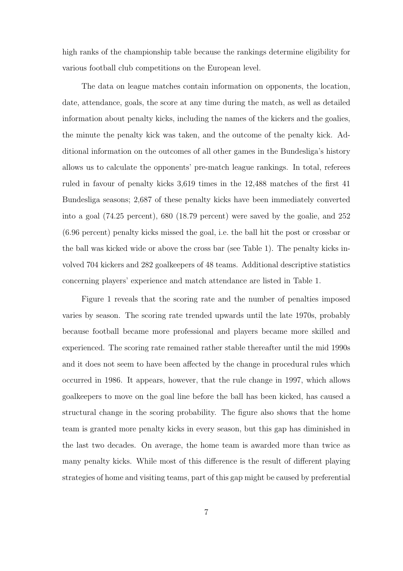high ranks of the championship table because the rankings determine eligibility for various football club competitions on the European level.

The data on league matches contain information on opponents, the location, date, attendance, goals, the score at any time during the match, as well as detailed information about penalty kicks, including the names of the kickers and the goalies, the minute the penalty kick was taken, and the outcome of the penalty kick. Additional information on the outcomes of all other games in the Bundesliga's history allows us to calculate the opponents' pre-match league rankings. In total, referees ruled in favour of penalty kicks 3,619 times in the 12,488 matches of the first 41 Bundesliga seasons; 2,687 of these penalty kicks have been immediately converted into a goal (74.25 percent), 680 (18.79 percent) were saved by the goalie, and 252 (6.96 percent) penalty kicks missed the goal, i.e. the ball hit the post or crossbar or the ball was kicked wide or above the cross bar (see Table 1). The penalty kicks involved 704 kickers and 282 goalkeepers of 48 teams. Additional descriptive statistics concerning players' experience and match attendance are listed in Table 1.

Figure 1 reveals that the scoring rate and the number of penalties imposed varies by season. The scoring rate trended upwards until the late 1970s, probably because football became more professional and players became more skilled and experienced. The scoring rate remained rather stable thereafter until the mid 1990s and it does not seem to have been affected by the change in procedural rules which occurred in 1986. It appears, however, that the rule change in 1997, which allows goalkeepers to move on the goal line before the ball has been kicked, has caused a structural change in the scoring probability. The figure also shows that the home team is granted more penalty kicks in every season, but this gap has diminished in the last two decades. On average, the home team is awarded more than twice as many penalty kicks. While most of this difference is the result of different playing strategies of home and visiting teams, part of this gap might be caused by preferential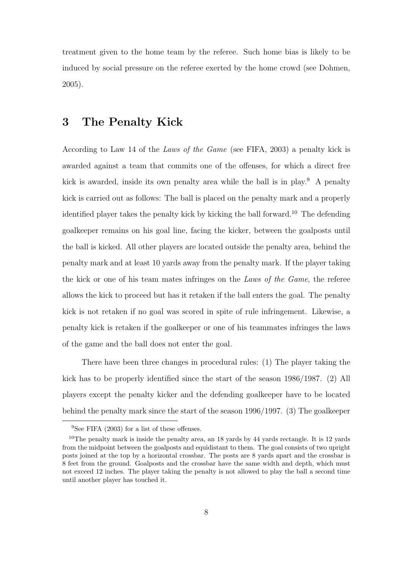treatment given to the home team by the referee. Such home bias is likely to be induced by social pressure on the referee exerted by the home crowd (see Dohmen, 2005).

## **3 The Penalty Kick**

According to Law 14 of the *Laws of the Game* (see FIFA, 2003) a penalty kick is awarded against a team that commits one of the offenses, for which a direct free kick is awarded, inside its own penalty area while the ball is in play.<sup>9</sup> A penalty kick is carried out as follows: The ball is placed on the penalty mark and a properly identified player takes the penalty kick by kicking the ball forward.<sup>10</sup> The defending goalkeeper remains on his goal line, facing the kicker, between the goalposts until the ball is kicked. All other players are located outside the penalty area, behind the penalty mark and at least 10 yards away from the penalty mark. If the player taking the kick or one of his team mates infringes on the *Laws of the Game*, the referee allows the kick to proceed but has it retaken if the ball enters the goal. The penalty kick is not retaken if no goal was scored in spite of rule infringement. Likewise, a penalty kick is retaken if the goalkeeper or one of his teammates infringes the laws of the game and the ball does not enter the goal.

There have been three changes in procedural rules: (1) The player taking the kick has to be properly identified since the start of the season 1986/1987. (2) All players except the penalty kicker and the defending goalkeeper have to be located behind the penalty mark since the start of the season 1996/1997. (3) The goalkeeper

 ${}^{9}$ See FIFA (2003) for a list of these offenses.

 $10$ The penalty mark is inside the penalty area, an 18 yards by 44 yards rectangle. It is 12 yards from the midpoint between the goalposts and equidistant to them. The goal consists of two upright posts joined at the top by a horizontal crossbar. The posts are 8 yards apart and the crossbar is 8 feet from the ground. Goalposts and the crossbar have the same width and depth, which must not exceed 12 inches. The player taking the penalty is not allowed to play the ball a second time until another player has touched it.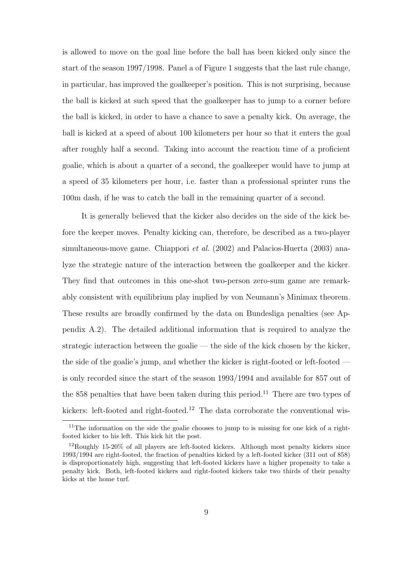is allowed to move on the goal line before the ball has been kicked only since the start of the season 1997/1998. Panel a of Figure 1 suggests that the last rule change, in particular, has improved the goalkeeper's position. This is not surprising, because the ball is kicked at such speed that the goalkeeper has to jump to a corner before the ball is kicked, in order to have a chance to save a penalty kick. On average, the ball is kicked at a speed of about 100 kilometers per hour so that it enters the goal after roughly half a second. Taking into account the reaction time of a proficient goalie, which is about a quarter of a second, the goalkeeper would have to jump at a speed of 35 kilometers per hour, i.e. faster than a professional sprinter runs the 100m dash, if he was to catch the ball in the remaining quarter of a second.

It is generally believed that the kicker also decides on the side of the kick before the keeper moves. Penalty kicking can, therefore, be described as a two-player simultaneous-move game. Chiappori *et al.* (2002) and Palacios-Huerta (2003) analyze the strategic nature of the interaction between the goalkeeper and the kicker. They find that outcomes in this one-shot two-person zero-sum game are remarkably consistent with equilibrium play implied by von Neumann's Minimax theorem. These results are broadly confirmed by the data on Bundesliga penalties (see Appendix A.2). The detailed additional information that is required to analyze the strategic interaction between the goalie — the side of the kick chosen by the kicker, the side of the goalie's jump, and whether the kicker is right-footed or left-footed is only recorded since the start of the season 1993/1994 and available for 857 out of the 858 penalties that have been taken during this period.<sup>11</sup> There are two types of kickers: left-footed and right-footed.<sup>12</sup> The data corroborate the conventional wis-

<sup>&</sup>lt;sup>11</sup>The information on the side the goalie chooses to jump to is missing for one kick of a rightfooted kicker to his left. This kick hit the post.

<sup>12</sup>Roughly 15-20% of all players are left-footed kickers. Although most penalty kickers since 1993/1994 are right-footed, the fraction of penalties kicked by a left-footed kicker (311 out of 858) is disproportionately high, suggesting that left-footed kickers have a higher propensity to take a penalty kick. Both, left-footed kickers and right-footed kickers take two thirds of their penalty kicks at the home turf.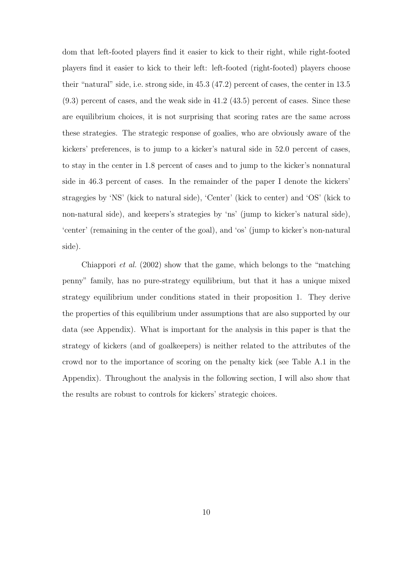dom that left-footed players find it easier to kick to their right, while right-footed players find it easier to kick to their left: left-footed (right-footed) players choose their "natural" side, i.e. strong side, in 45.3 (47.2) percent of cases, the center in 13.5  $(9.3)$  percent of cases, and the weak side in  $41.2$   $(43.5)$  percent of cases. Since these are equilibrium choices, it is not surprising that scoring rates are the same across these strategies. The strategic response of goalies, who are obviously aware of the kickers' preferences, is to jump to a kicker's natural side in 52.0 percent of cases, to stay in the center in 1.8 percent of cases and to jump to the kicker's nonnatural side in 46.3 percent of cases. In the remainder of the paper I denote the kickers' stragegies by 'NS' (kick to natural side), 'Center' (kick to center) and 'OS' (kick to non-natural side), and keepers's strategies by 'ns' (jump to kicker's natural side), 'center' (remaining in the center of the goal), and 'os' (jump to kicker's non-natural side).

Chiappori *et al.* (2002) show that the game, which belongs to the "matching penny" family, has no pure-strategy equilibrium, but that it has a unique mixed strategy equilibrium under conditions stated in their proposition 1. They derive the properties of this equilibrium under assumptions that are also supported by our data (see Appendix). What is important for the analysis in this paper is that the strategy of kickers (and of goalkeepers) is neither related to the attributes of the crowd nor to the importance of scoring on the penalty kick (see Table A.1 in the Appendix). Throughout the analysis in the following section, I will also show that the results are robust to controls for kickers' strategic choices.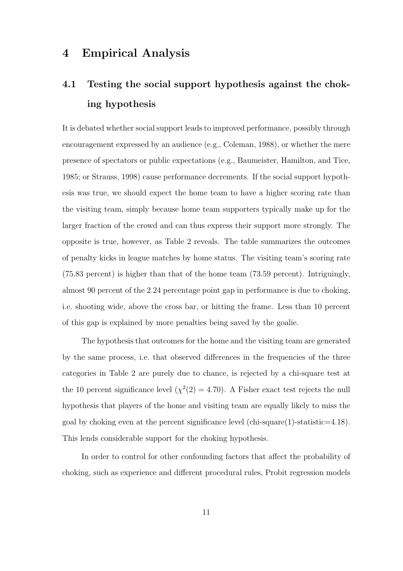# **4 Empirical Analysis**

# **4.1 Testing the social support hypothesis against the choking hypothesis**

It is debated whether social support leads to improved performance, possibly through encouragement expressed by an audience (e.g., Coleman, 1988), or whether the mere presence of spectators or public expectations (e.g., Baumeister, Hamilton, and Tice, 1985; or Strauss, 1998) cause performance decrements. If the social support hypothesis was true, we should expect the home team to have a higher scoring rate than the visiting team, simply because home team supporters typically make up for the larger fraction of the crowd and can thus express their support more strongly. The opposite is true, however, as Table 2 reveals. The table summarizes the outcomes of penalty kicks in league matches by home status. The visiting team's scoring rate (75.83 percent) is higher than that of the home team (73.59 percent). Intriguingly, almost 90 percent of the 2.24 percentage point gap in performance is due to choking, i.e. shooting wide, above the cross bar, or hitting the frame. Less than 10 percent of this gap is explained by more penalties being saved by the goalie.

The hypothesis that outcomes for the home and the visiting team are generated by the same process, i.e. that observed differences in the frequencies of the three categories in Table 2 are purely due to chance, is rejected by a chi-square test at the 10 percent significance level  $(\chi^2(2) = 4.70)$ . A Fisher exact test rejects the null hypothesis that players of the home and visiting team are equally likely to miss the goal by choking even at the percent significance level (chi-square(1)-statistic=4.18). This lends considerable support for the choking hypothesis.

In order to control for other confounding factors that affect the probability of choking, such as experience and different procedural rules, Probit regression models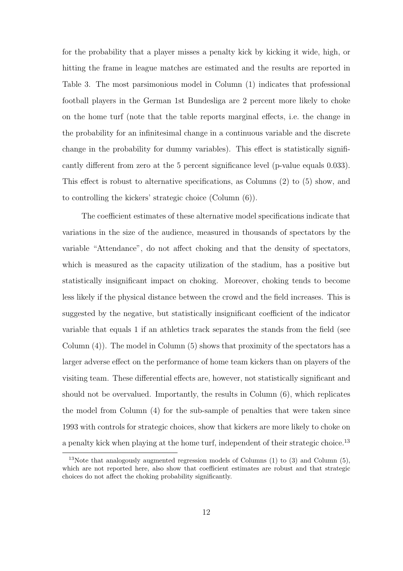for the probability that a player misses a penalty kick by kicking it wide, high, or hitting the frame in league matches are estimated and the results are reported in Table 3. The most parsimonious model in Column (1) indicates that professional football players in the German 1st Bundesliga are 2 percent more likely to choke on the home turf (note that the table reports marginal effects, i.e. the change in the probability for an infinitesimal change in a continuous variable and the discrete change in the probability for dummy variables). This effect is statistically significantly different from zero at the 5 percent significance level (p-value equals 0.033). This effect is robust to alternative specifications, as Columns (2) to (5) show, and to controlling the kickers' strategic choice (Column (6)).

The coefficient estimates of these alternative model specifications indicate that variations in the size of the audience, measured in thousands of spectators by the variable "Attendance", do not affect choking and that the density of spectators, which is measured as the capacity utilization of the stadium, has a positive but statistically insignificant impact on choking. Moreover, choking tends to become less likely if the physical distance between the crowd and the field increases. This is suggested by the negative, but statistically insignificant coefficient of the indicator variable that equals 1 if an athletics track separates the stands from the field (see Column  $(4)$ ). The model in Column  $(5)$  shows that proximity of the spectators has a larger adverse effect on the performance of home team kickers than on players of the visiting team. These differential effects are, however, not statistically significant and should not be overvalued. Importantly, the results in Column (6), which replicates the model from Column (4) for the sub-sample of penalties that were taken since 1993 with controls for strategic choices, show that kickers are more likely to choke on a penalty kick when playing at the home turf, independent of their strategic choice.<sup>13</sup>

<sup>&</sup>lt;sup>13</sup>Note that analogously augmented regression models of Columns  $(1)$  to  $(3)$  and Column  $(5)$ , which are not reported here, also show that coefficient estimates are robust and that strategic choices do not affect the choking probability significantly.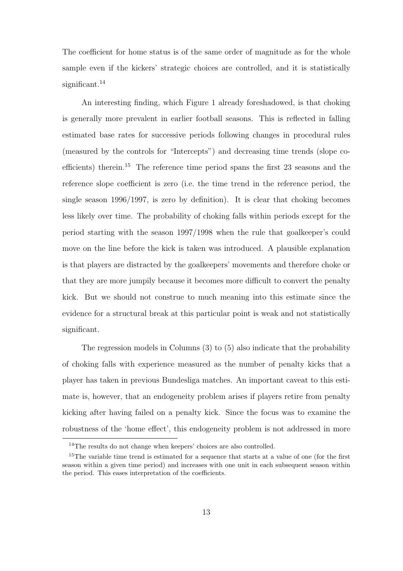The coefficient for home status is of the same order of magnitude as for the whole sample even if the kickers' strategic choices are controlled, and it is statistically significant.<sup>14</sup>

An interesting finding, which Figure 1 already foreshadowed, is that choking is generally more prevalent in earlier football seasons. This is reflected in falling estimated base rates for successive periods following changes in procedural rules (measured by the controls for "Intercepts") and decreasing time trends (slope coefficients) therein.<sup>15</sup> The reference time period spans the first 23 seasons and the reference slope coefficient is zero (i.e. the time trend in the reference period, the single season 1996/1997, is zero by definition). It is clear that choking becomes less likely over time. The probability of choking falls within periods except for the period starting with the season 1997/1998 when the rule that goalkeeper's could move on the line before the kick is taken was introduced. A plausible explanation is that players are distracted by the goalkeepers' movements and therefore choke or that they are more jumpily because it becomes more difficult to convert the penalty kick. But we should not construe to much meaning into this estimate since the evidence for a structural break at this particular point is weak and not statistically significant.

The regression models in Columns (3) to (5) also indicate that the probability of choking falls with experience measured as the number of penalty kicks that a player has taken in previous Bundesliga matches. An important caveat to this estimate is, however, that an endogeneity problem arises if players retire from penalty kicking after having failed on a penalty kick. Since the focus was to examine the robustness of the 'home effect', this endogeneity problem is not addressed in more

<sup>14</sup>The results do not change when keepers' choices are also controlled.

<sup>&</sup>lt;sup>15</sup>The variable time trend is estimated for a sequence that starts at a value of one (for the first season within a given time period) and increases with one unit in each subsequent season within the period. This eases interpretation of the coefficients.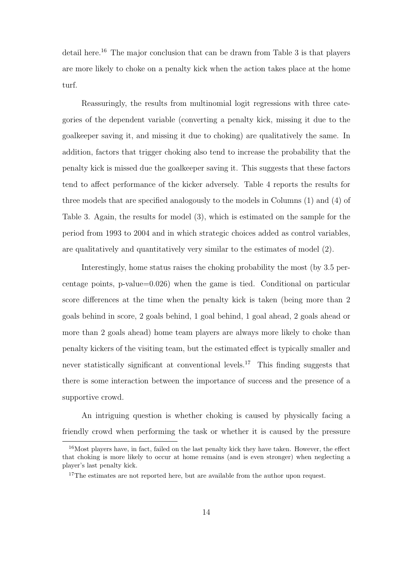detail here.<sup>16</sup> The major conclusion that can be drawn from Table 3 is that players are more likely to choke on a penalty kick when the action takes place at the home turf.

Reassuringly, the results from multinomial logit regressions with three categories of the dependent variable (converting a penalty kick, missing it due to the goalkeeper saving it, and missing it due to choking) are qualitatively the same. In addition, factors that trigger choking also tend to increase the probability that the penalty kick is missed due the goalkeeper saving it. This suggests that these factors tend to affect performance of the kicker adversely. Table 4 reports the results for three models that are specified analogously to the models in Columns (1) and (4) of Table 3. Again, the results for model (3), which is estimated on the sample for the period from 1993 to 2004 and in which strategic choices added as control variables, are qualitatively and quantitatively very similar to the estimates of model (2).

Interestingly, home status raises the choking probability the most (by 3.5 percentage points, p-value=0.026) when the game is tied. Conditional on particular score differences at the time when the penalty kick is taken (being more than 2 goals behind in score, 2 goals behind, 1 goal behind, 1 goal ahead, 2 goals ahead or more than 2 goals ahead) home team players are always more likely to choke than penalty kickers of the visiting team, but the estimated effect is typically smaller and never statistically significant at conventional levels.<sup>17</sup> This finding suggests that there is some interaction between the importance of success and the presence of a supportive crowd.

An intriguing question is whether choking is caused by physically facing a friendly crowd when performing the task or whether it is caused by the pressure

<sup>&</sup>lt;sup>16</sup>Most players have, in fact, failed on the last penalty kick they have taken. However, the effect that choking is more likely to occur at home remains (and is even stronger) when neglecting a player's last penalty kick.

<sup>&</sup>lt;sup>17</sup>The estimates are not reported here, but are available from the author upon request.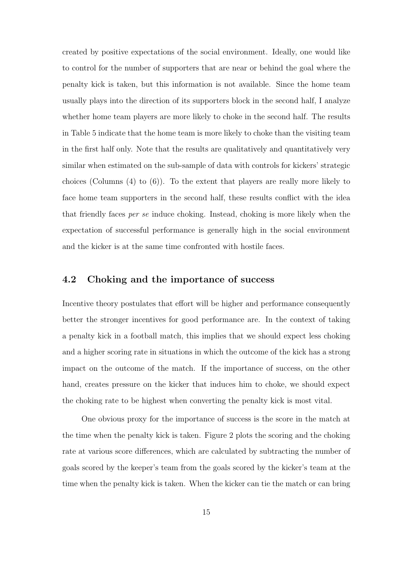created by positive expectations of the social environment. Ideally, one would like to control for the number of supporters that are near or behind the goal where the penalty kick is taken, but this information is not available. Since the home team usually plays into the direction of its supporters block in the second half, I analyze whether home team players are more likely to choke in the second half. The results in Table 5 indicate that the home team is more likely to choke than the visiting team in the first half only. Note that the results are qualitatively and quantitatively very similar when estimated on the sub-sample of data with controls for kickers' strategic choices (Columns  $(4)$  to  $(6)$ ). To the extent that players are really more likely to face home team supporters in the second half, these results conflict with the idea that friendly faces *per se* induce choking. Instead, choking is more likely when the expectation of successful performance is generally high in the social environment and the kicker is at the same time confronted with hostile faces.

## **4.2 Choking and the importance of success**

Incentive theory postulates that effort will be higher and performance consequently better the stronger incentives for good performance are. In the context of taking a penalty kick in a football match, this implies that we should expect less choking and a higher scoring rate in situations in which the outcome of the kick has a strong impact on the outcome of the match. If the importance of success, on the other hand, creates pressure on the kicker that induces him to choke, we should expect the choking rate to be highest when converting the penalty kick is most vital.

One obvious proxy for the importance of success is the score in the match at the time when the penalty kick is taken. Figure 2 plots the scoring and the choking rate at various score differences, which are calculated by subtracting the number of goals scored by the keeper's team from the goals scored by the kicker's team at the time when the penalty kick is taken. When the kicker can tie the match or can bring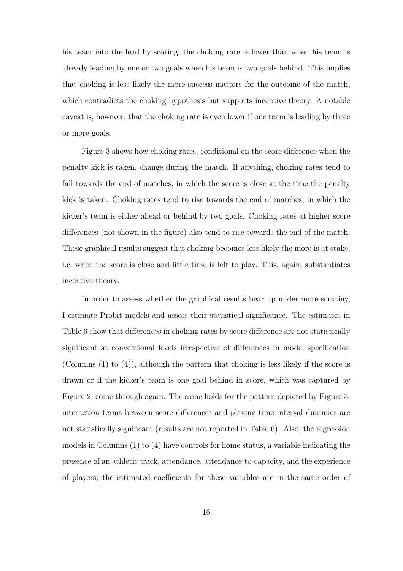his team into the lead by scoring, the choking rate is lower than when his team is already leading by one or two goals when his team is two goals behind. This implies that choking is less likely the more success matters for the outcome of the match, which contradicts the choking hypothesis but supports incentive theory. A notable caveat is, however, that the choking rate is even lower if one team is leading by three or more goals.

Figure 3 shows how choking rates, conditional on the score difference when the penalty kick is taken, change during the match. If anything, choking rates tend to fall towards the end of matches, in which the score is close at the time the penalty kick is taken. Choking rates tend to rise towards the end of matches, in which the kicker's team is either ahead or behind by two goals. Choking rates at higher score differences (not shown in the figure) also tend to rise towards the end of the match. These graphical results suggest that choking becomes less likely the more is at stake, i.e. when the score is close and little time is left to play. This, again, substantiates incentive theory.

In order to assess whether the graphical results bear up under more scrutiny, I estimate Probit models and assess their statistical significance. The estimates in Table 6 show that differences in choking rates by score difference are not statistically significant at conventional levels irrespective of differences in model specification (Columns (1) to (4)), although the pattern that choking is less likely if the score is drawn or if the kicker's team is one goal behind in score, which was captured by Figure 2, come through again. The same holds for the pattern depicted by Figure 3: interaction terms between score differences and playing time interval dummies are not statistically significant (results are not reported in Table 6). Also, the regression models in Columns (1) to (4) have controls for home status, a variable indicating the presence of an athletic track, attendance, attendance-to-capacity, and the experience of players; the estimated coefficients for these variables are in the same order of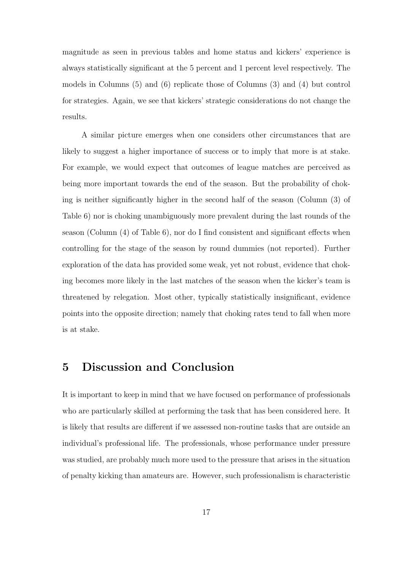magnitude as seen in previous tables and home status and kickers' experience is always statistically significant at the 5 percent and 1 percent level respectively. The models in Columns (5) and (6) replicate those of Columns (3) and (4) but control for strategies. Again, we see that kickers' strategic considerations do not change the results.

A similar picture emerges when one considers other circumstances that are likely to suggest a higher importance of success or to imply that more is at stake. For example, we would expect that outcomes of league matches are perceived as being more important towards the end of the season. But the probability of choking is neither significantly higher in the second half of the season (Column (3) of Table 6) nor is choking unambiguously more prevalent during the last rounds of the season (Column (4) of Table 6), nor do I find consistent and significant effects when controlling for the stage of the season by round dummies (not reported). Further exploration of the data has provided some weak, yet not robust, evidence that choking becomes more likely in the last matches of the season when the kicker's team is threatened by relegation. Most other, typically statistically insignificant, evidence points into the opposite direction; namely that choking rates tend to fall when more is at stake.

# **5 Discussion and Conclusion**

It is important to keep in mind that we have focused on performance of professionals who are particularly skilled at performing the task that has been considered here. It is likely that results are different if we assessed non-routine tasks that are outside an individual's professional life. The professionals, whose performance under pressure was studied, are probably much more used to the pressure that arises in the situation of penalty kicking than amateurs are. However, such professionalism is characteristic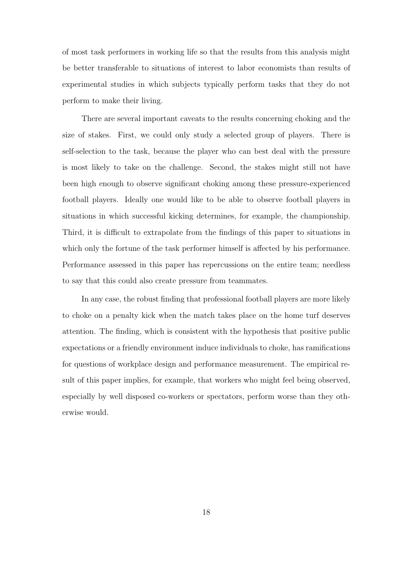of most task performers in working life so that the results from this analysis might be better transferable to situations of interest to labor economists than results of experimental studies in which subjects typically perform tasks that they do not perform to make their living.

There are several important caveats to the results concerning choking and the size of stakes. First, we could only study a selected group of players. There is self-selection to the task, because the player who can best deal with the pressure is most likely to take on the challenge. Second, the stakes might still not have been high enough to observe significant choking among these pressure-experienced football players. Ideally one would like to be able to observe football players in situations in which successful kicking determines, for example, the championship. Third, it is difficult to extrapolate from the findings of this paper to situations in which only the fortune of the task performer himself is affected by his performance. Performance assessed in this paper has repercussions on the entire team; needless to say that this could also create pressure from teammates.

In any case, the robust finding that professional football players are more likely to choke on a penalty kick when the match takes place on the home turf deserves attention. The finding, which is consistent with the hypothesis that positive public expectations or a friendly environment induce individuals to choke, has ramifications for questions of workplace design and performance measurement. The empirical result of this paper implies, for example, that workers who might feel being observed, especially by well disposed co-workers or spectators, perform worse than they otherwise would.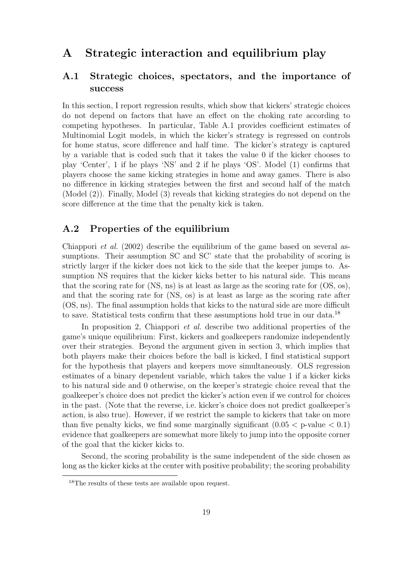# **A Strategic interaction and equilibrium play**

## **A.1 Strategic choices, spectators, and the importance of success**

In this section, I report regression results, which show that kickers' strategic choices do not depend on factors that have an effect on the choking rate according to competing hypotheses. In particular, Table A.1 provides coefficient estimates of Multinomial Logit models, in which the kicker's strategy is regressed on controls for home status, score difference and half time. The kicker's strategy is captured by a variable that is coded such that it takes the value 0 if the kicker chooses to play 'Center', 1 if he plays 'NS' and 2 if he plays 'OS'. Model (1) confirms that players choose the same kicking strategies in home and away games. There is also no difference in kicking strategies between the first and second half of the match (Model (2)). Finally, Model (3) reveals that kicking strategies do not depend on the score difference at the time that the penalty kick is taken.

### **A.2 Properties of the equilibrium**

Chiappori *et al.* (2002) describe the equilibrium of the game based on several assumptions. Their assumption SC and SC' state that the probability of scoring is strictly larger if the kicker does not kick to the side that the keeper jumps to. Assumption NS requires that the kicker kicks better to his natural side. This means that the scoring rate for (NS, ns) is at least as large as the scoring rate for (OS, os), and that the scoring rate for (NS, os) is at least as large as the scoring rate after (OS, ns). The final assumption holds that kicks to the natural side are more difficult to save. Statistical tests confirm that these assumptions hold true in our data.<sup>18</sup>

In proposition 2, Chiappori *et al.* describe two additional properties of the game's unique equilibrium: First, kickers and goalkeepers randomize independently over their strategies. Beyond the argument given in section 3, which implies that both players make their choices before the ball is kicked, I find statistical support for the hypothesis that players and keepers move simultaneously. OLS regression estimates of a binary dependent variable, which takes the value 1 if a kicker kicks to his natural side and 0 otherwise, on the keeper's strategic choice reveal that the goalkeeper's choice does not predict the kicker's action even if we control for choices in the past. (Note that the reverse, i.e. kicker's choice does not predict goalkeeper's action, is also true). However, if we restrict the sample to kickers that take on more than five penalty kicks, we find some marginally significant  $(0.05 < p$ -value  $< 0.1$ ) evidence that goalkeepers are somewhat more likely to jump into the opposite corner of the goal that the kicker kicks to.

Second, the scoring probability is the same independent of the side chosen as long as the kicker kicks at the center with positive probability; the scoring probability

<sup>18</sup>The results of these tests are available upon request.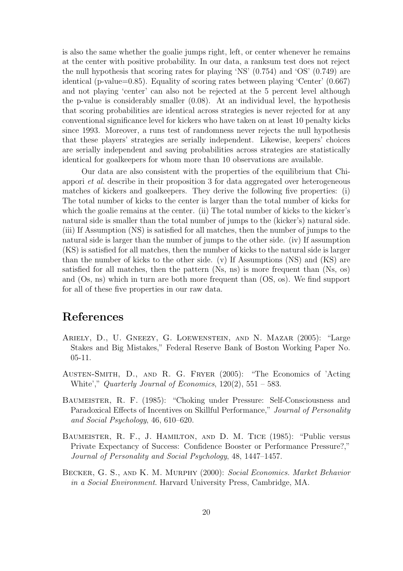is also the same whether the goalie jumps right, left, or center whenever he remains at the center with positive probability. In our data, a ranksum test does not reject the null hypothesis that scoring rates for playing 'NS' (0.754) and 'OS' (0.749) are identical (p-value=0.85). Equality of scoring rates between playing 'Center' (0.667) and not playing 'center' can also not be rejected at the 5 percent level although the p-value is considerably smaller (0.08). At an individual level, the hypothesis that scoring probabilities are identical across strategies is never rejected for at any conventional significance level for kickers who have taken on at least 10 penalty kicks since 1993. Moreover, a runs test of randomness never rejects the null hypothesis that these players' strategies are serially independent. Likewise, keepers' choices are serially independent and saving probabilities across strategies are statistically identical for goalkeepers for whom more than 10 observations are available.

Our data are also consistent with the properties of the equilibrium that Chiappori *et al.* describe in their proposition 3 for data aggregated over heterogeneous matches of kickers and goalkeepers. They derive the following five properties: (i) The total number of kicks to the center is larger than the total number of kicks for which the goalie remains at the center. (ii) The total number of kicks to the kicker's natural side is smaller than the total number of jumps to the (kicker's) natural side. (iii) If Assumption (NS) is satisfied for all matches, then the number of jumps to the natural side is larger than the number of jumps to the other side. (iv) If assumption (KS) is satisfied for all matches, then the number of kicks to the natural side is larger than the number of kicks to the other side. (v) If Assumptions (NS) and (KS) are satisfied for all matches, then the pattern (Ns, ns) is more frequent than (Ns, os) and (Os, ns) which in turn are both more frequent than (OS, os). We find support for all of these five properties in our raw data.

# **References**

- ARIELY, D., U. GNEEZY, G. LOEWENSTEIN, AND N. MAZAR (2005): "Large Stakes and Big Mistakes," Federal Reserve Bank of Boston Working Paper No. 05-11.
- Austen-Smith, D., and R. G. Fryer (2005): "The Economics of 'Acting White'," *Quarterly Journal of Economics*, 120(2), 551 – 583.
- Baumeister, R. F. (1985): "Choking under Pressure: Self-Consciousness and Paradoxical Effects of Incentives on Skillful Performance," *Journal of Personality and Social Psychology*, 46, 610–620.
- BAUMEISTER, R. F., J. HAMILTON, AND D. M. TICE (1985): "Public versus Private Expectancy of Success: Confidence Booster or Performance Pressure?," *Journal of Personality and Social Psychology*, 48, 1447–1457.
- Becker, G. S., and K. M. Murphy (2000): *Social Economics. Market Behavior in a Social Environment*. Harvard University Press, Cambridge, MA.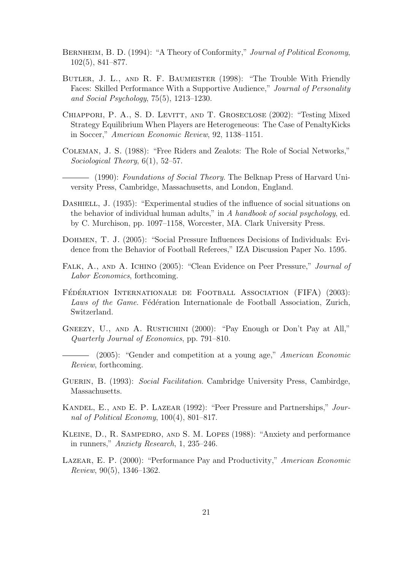- Bernheim, B. D. (1994): "A Theory of Conformity," *Journal of Political Economy*, 102(5), 841–877.
- Butler, J. L., and R. F. Baumeister (1998): "The Trouble With Friendly Faces: Skilled Performance With a Supportive Audience," *Journal of Personality and Social Psychology*, 75(5), 1213–1230.
- CHIAPPORI, P. A., S. D. LEVITT, AND T. GROSECLOSE (2002): "Testing Mixed Strategy Equilibrium When Players are Heterogeneous: The Case of PenaltyKicks in Soccer," *American Economic Review*, 92, 1138–1151.
- Coleman, J. S. (1988): "Free Riders and Zealots: The Role of Social Networks," *Sociological Theory*, 6(1), 52–57.

(1990): *Foundations of Social Theory*. The Belknap Press of Harvard University Press, Cambridge, Massachusetts, and London, England.

- DASHIELL, J. (1935): "Experimental studies of the influence of social situations on the behavior of individual human adults," in *A handbook of social psychology*, ed. by C. Murchison, pp. 1097–1158, Worcester, MA. Clark University Press.
- Dohmen, T. J. (2005): "Social Pressure Influences Decisions of Individuals: Evidence from the Behavior of Football Referees," IZA Discussion Paper No. 1595.
- Falk, A., and A. Ichino (2005): "Clean Evidence on Peer Pressure," *Journal of Labor Economics*, forthcoming.
- FÉDÉRATION INTERNATIONALE DE FOOTBALL ASSOCIATION (FIFA) (2003): *Laws of the Game*. Fédération Internationale de Football Association, Zurich, Switzerland.
- GNEEZY, U., AND A. RUSTICHINI (2000): "Pay Enough or Don't Pay at All," *Quarterly Journal of Economics*, pp. 791–810.

(2005): "Gender and competition at a young age," *American Economic Review*, forthcoming.

- Guerin, B. (1993): *Social Facilitation*. Cambridge University Press, Cambirdge, Massachusetts.
- Kandel, E., and E. P. Lazear (1992): "Peer Pressure and Partnerships," *Journal of Political Economy*, 100(4), 801–817.
- KLEINE, D., R. SAMPEDRO, AND S. M. LOPES (1988): "Anxiety and performance in runners," *Anxiety Research*, 1, 235–246.
- Lazear, E. P. (2000): "Performance Pay and Productivity," *American Economic Review*, 90(5), 1346–1362.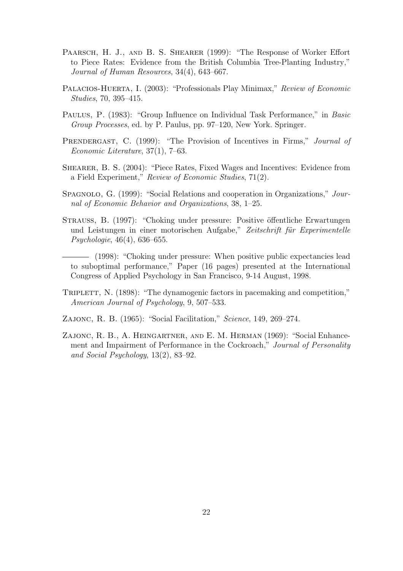- PAARSCH, H. J., AND B. S. SHEARER (1999): "The Response of Worker Effort to Piece Rates: Evidence from the British Columbia Tree-Planting Industry," *Journal of Human Resources*, 34(4), 643–667.
- Palacios-Huerta, I. (2003): "Professionals Play Minimax," *Review of Economic Studies*, 70, 395–415.
- Paulus, P. (1983): "Group Influence on Individual Task Performance," in *Basic Group Processes*, ed. by P. Paulus, pp. 97–120, New York. Springer.
- PRENDERGAST, C. (1999): "The Provision of Incentives in Firms," *Journal of Economic Literature*, 37(1), 7–63.
- SHEARER, B. S. (2004): "Piece Rates, Fixed Wages and Incentives: Evidence from a Field Experiment," *Review of Economic Studies*, 71(2).
- SPAGNOLO, G. (1999): "Social Relations and cooperation in Organizations," *Journal of Economic Behavior and Organizations*, 38, 1–25.
- STRAUSS, B. (1997): "Choking under pressure: Positive öffentliche Erwartungen und Leistungen in einer motorischen Aufgabe," Zeitschrift für Experimentelle *Psychologie*, 46(4), 636–655.
- (1998): "Choking under pressure: When positive public expectancies lead to suboptimal performance," Paper (16 pages) presented at the International Congress of Applied Psychology in San Francisco, 9-14 August, 1998.
- TRIPLETT, N. (1898): "The dynamogenic factors in pacemaking and competition," *American Journal of Psychology*, 9, 507–533.
- Zajonc, R. B. (1965): "Social Facilitation," *Science*, 149, 269–274.
- Zajonc, R. B., A. Heingartner, and E. M. Herman (1969): "Social Enhancement and Impairment of Performance in the Cockroach," *Journal of Personality and Social Psychology*, 13(2), 83–92.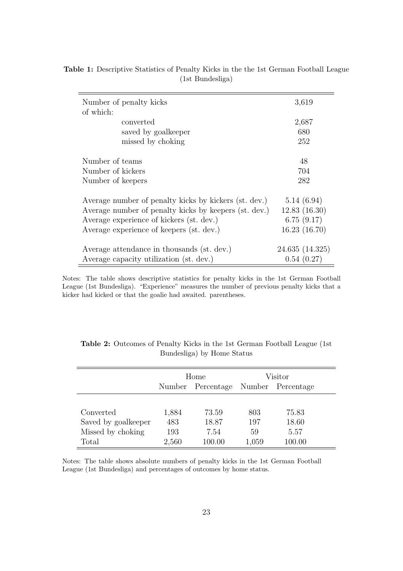| Number of penalty kicks<br>of which:                  | 3,619           |
|-------------------------------------------------------|-----------------|
| converted                                             | 2,687           |
| saved by goalkeeper                                   | 680             |
| missed by choking                                     | 252             |
|                                                       |                 |
| Number of teams                                       | 48              |
| Number of kickers                                     | 704             |
| Number of keepers                                     | 282             |
|                                                       |                 |
| Average number of penalty kicks by kickers (st. dev.) | 5.14(6.94)      |
| Average number of penalty kicks by keepers (st. dev.) | 12.83(16.30)    |
| Average experience of kickers (st. dev.)              | 6.75(9.17)      |
| Average experience of keepers (st. dev.)              | 16.23(16.70)    |
|                                                       |                 |
| Average attendance in thousands (st. dev.)            | 24.635 (14.325) |
| Average capacity utilization (st. dev.)               | 0.54(0.27)      |

**Table 1:** Descriptive Statistics of Penalty Kicks in the the 1st German Football League (1st Bundesliga)

Notes: The table shows descriptive statistics for penalty kicks in the 1st German Football League (1st Bundesliga). "Experience" measures the number of previous penalty kicks that a kicker had kicked or that the goalie had awaited. parentheses.

|                     |                                     | Home   |       | Visitor |
|---------------------|-------------------------------------|--------|-------|---------|
|                     | Number Percentage Number Percentage |        |       |         |
|                     |                                     |        |       |         |
| Converted           | 1,884                               | 73.59  | 803   | 75.83   |
| Saved by goalkeeper | 483                                 | 18.87  | 197   | 18.60   |
| Missed by choking   | 193                                 | 7.54   | 59    | 5.57    |
| Total               | 2,560                               | 100.00 | 1,059 | 100.00  |

**Table 2:** Outcomes of Penalty Kicks in the 1st German Football League (1st Bundesliga) by Home Status

Notes: The table shows absolute numbers of penalty kicks in the 1st German Football League (1st Bundesliga) and percentages of outcomes by home status.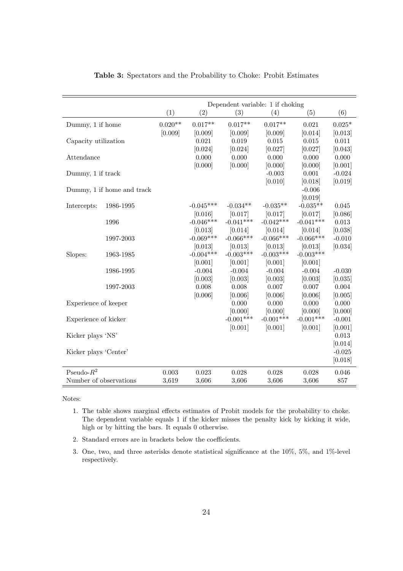|                       |                            | Dependent variable: 1 if choking |                        |                        |                        |                        |                  |  |
|-----------------------|----------------------------|----------------------------------|------------------------|------------------------|------------------------|------------------------|------------------|--|
|                       |                            | (1)                              | (2)                    | (3)                    | $\left( 4\right)$      | (5)                    | (6)              |  |
| Dummy, 1 if home      |                            | $0.020**$                        | $0.017**$              | $0.017**$              | $0.017**$              | 0.021                  | $0.025*$         |  |
|                       |                            | [0.009]                          | [0.009]                | [0.009]                | [0.009]                | [0.014]                | [0.013]          |  |
| Capacity utilization  |                            |                                  | $\,0.021\,$            | $0.019\,$              | $\,0.015\,$            | $\,0.015\,$            | $0.011\,$        |  |
|                       |                            |                                  | [0.024]                | [0.024]                | [0.027]                | [0.027]                | [0.043]          |  |
| Attendance            |                            |                                  | 0.000                  | 0.000                  | 0.000                  | 0.000                  | 0.000            |  |
|                       |                            |                                  | [0.000]                | [0.000]                | [0.000]                | [0.000]                | [0.001]          |  |
| Dummy, 1 if track     |                            |                                  |                        |                        | $-0.003$               | $0.001\,$              | $-0.024$         |  |
|                       |                            |                                  |                        |                        | [0.010]                | [0.018]                | [0.019]          |  |
|                       | Dummy, 1 if home and track |                                  |                        |                        |                        | $-0.006$               |                  |  |
|                       |                            |                                  |                        |                        |                        | [0.019]                |                  |  |
| Intercepts:           | 1986-1995                  |                                  | $-0.045***$            | $-0.034**$             | $-0.035**$             | $-0.035**$             | 0.045            |  |
|                       |                            |                                  | [0.016]<br>$-0.046***$ | [0.017]<br>$-0.041***$ | [0.017]<br>$-0.042***$ | [0.017]<br>$-0.041***$ | [0.086]          |  |
|                       | 1996                       |                                  | [0.013]                | [0.014]                | [0.014]                | [0.014]                | 0.013<br>[0.038] |  |
|                       | 1997-2003                  |                                  | $-0.069***$            | $-0.066***$            | $-0.066***$            | $-0.066***$            | $-0.010$         |  |
|                       |                            |                                  | [0.013]                | [0.013]                | [0.013]                | [0.013]                | [0.034]          |  |
| Slopes:               | 1963-1985                  |                                  | $-0.004***$            | $-0.003***$            | $-0.003***$            | $-0.003***$            |                  |  |
|                       |                            |                                  | [0.001]                | [0.001]                | [0.001]                | [0.001]                |                  |  |
|                       | 1986-1995                  |                                  | $-0.004$               | $-0.004$               | $-0.004$               | $-0.004$               | $-0.030$         |  |
|                       |                            |                                  | [0.003]                | [0.003]                | [0.003]                | [0.003]                | [0.035]          |  |
|                       | 1997-2003                  |                                  | 0.008                  | 0.008                  | 0.007                  | $0.007\,$              | 0.004            |  |
|                       |                            |                                  | [0.006]                | [0.006]                | [0.006]                | [0.006]                | [0.005]          |  |
| Experience of keeper  |                            |                                  |                        | 0.000                  | 0.000                  | 0.000                  | 0.000            |  |
|                       |                            |                                  |                        | [0.000]                | [0.000]                | [0.000]                | [0.000]          |  |
| Experience of kicker  |                            |                                  |                        | $-0.001***$            | $-0.001***$            | $-0.001***$            | $-0.001$         |  |
|                       |                            |                                  |                        | [0.001]                | [0.001]                | [0.001]                | [0.001]          |  |
| Kicker plays 'NS'     |                            |                                  |                        |                        |                        |                        | 0.013            |  |
|                       |                            |                                  |                        |                        |                        |                        | [0.014]          |  |
| Kicker plays 'Center' |                            |                                  |                        |                        |                        |                        | $-0.025$         |  |
|                       |                            |                                  |                        |                        |                        |                        | [0.018]          |  |
| Pseudo- $R^2$         |                            | 0.003                            | 0.023                  | 0.028                  | 0.028                  | 0.028                  | 0.046            |  |
|                       | Number of observations     | 3,619                            | 3,606                  | 3,606                  | 3,606                  | 3,606                  | 857              |  |

**Table 3:** Spectators and the Probability to Choke: Probit Estimates

Notes:

1. The table shows marginal effects estimates of Probit models for the probability to choke. The dependent variable equals 1 if the kicker misses the penalty kick by kicking it wide, high or by hitting the bars. It equals 0 otherwise.

- 2. Standard errors are in brackets below the coefficients.
- 3. One, two, and three asterisks denote statistical significance at the 10%, 5%, and 1%-level respectively.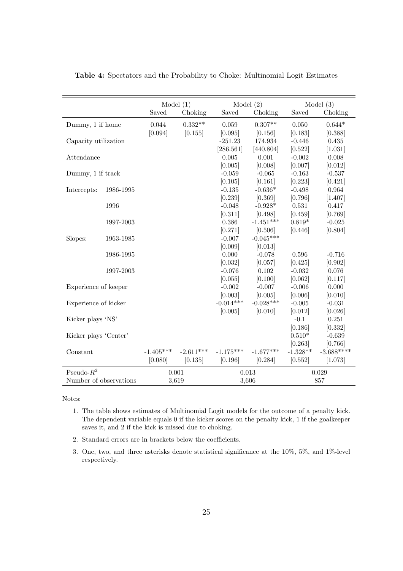|                        |           |             | Model $(1)$<br>Model $(2)$ |             |              | Model $(3)$ |             |
|------------------------|-----------|-------------|----------------------------|-------------|--------------|-------------|-------------|
|                        |           | Saved       | Choking                    | Saved       | Choking      | Saved       | Choking     |
| Dummy, 1 if home       |           | 0.044       | $0.332**$                  | 0.059       | $0.307**$    | 0.050       | $0.644*$    |
|                        |           | [0.094]     | [0.155]                    | [0.095]     | [0.156]      | [0.183]     | [0.388]     |
| Capacity utilization   |           |             |                            | $-251.23$   | 174.934      | $-0.446$    | 0.435       |
|                        |           |             |                            | [286.561]   | [440.804]    | [0.522]     | [1.031]     |
| Attendance             |           |             |                            | 0.005       | 0.001        | $-0.002$    | 0.008       |
|                        |           |             |                            | [0.005]     | [0.008]      | [0.007]     | [0.012]     |
| Dummy, 1 if track      |           |             |                            | $-0.059$    | $-0.065$     | $-0.163$    | $-0.537$    |
|                        |           |             |                            | [0.105]     | [0.161]      | [0.223]     | [0.421]     |
| Intercepts:            | 1986-1995 |             |                            | $-0.135$    | $-0.636*$    | $-0.498$    | 0.964       |
|                        |           |             |                            | [0.239]     | [0.369]      | [0.796]     | [1.407]     |
|                        | 1996      |             |                            | $-0.048$    | $-0.928*$    | 0.531       | 0.417       |
|                        |           |             |                            | [0.311]     | [0.498]      | [0.459]     | [0.769]     |
|                        | 1997-2003 |             |                            | 0.386       | $-1.451***$  | $0.819*$    | $-0.025$    |
|                        |           |             |                            | [0.271]     | [0.506]      | [0.446]     | [0.804]     |
| Slopes:                | 1963-1985 |             |                            | $-0.007$    | $-0.045***$  |             |             |
|                        |           |             |                            | [0.009]     | [0.013]      |             |             |
|                        | 1986-1995 |             |                            | 0.000       | $-0.078$     | 0.596       | $-0.716$    |
|                        |           |             |                            | [0.032]     | [0.057]      | [0.425]     | [0.902]     |
|                        | 1997-2003 |             |                            | $-0.076$    | 0.102        | $-0.032$    | 0.076       |
|                        |           |             |                            | [0.055]     | [0.100]      | [0.062]     | [0.117]     |
| Experience of keeper   |           |             |                            | $-0.002$    | $-0.007$     | $-0.006$    | 0.000       |
|                        |           |             |                            | [0.003]     | [0.005]      | [0.006]     | [0.010]     |
| Experience of kicker   |           |             |                            | $-0.014***$ | $-0.028***$  | $-0.005$    | $-0.031$    |
|                        |           |             |                            | [0.005]     | [0.010]      | [0.012]     | [0.026]     |
| Kicker plays 'NS'      |           |             |                            |             |              | $-0.1$      | 0.251       |
|                        |           |             |                            |             |              | [0.186]     | [0.332]     |
| Kicker plays 'Center'  |           |             |                            |             |              | $0.510*$    | $-0.639$    |
| Constant               |           |             |                            |             |              | [0.263]     | [0.766]     |
|                        |           | $-1.405***$ | $-2.611***$                | $-1.175***$ | $-1.677***$  | $-1.328**$  | $-3.688***$ |
|                        |           | [0.080]     | [0.135]                    | [0.196]     | [0.284]      | [0.552]     | [1.073]     |
| Pseudo- $R^2$          |           |             | 0.001                      |             | 0.013        | 0.029       |             |
| Number of observations |           |             | 3,619                      |             | 3,606<br>857 |             |             |

**Table 4:** Spectators and the Probability to Choke: Multinomial Logit Estimates

Notes:

- 1. The table shows estimates of Multinomial Logit models for the outcome of a penalty kick. The dependent variable equals 0 if the kicker scores on the penalty kick, 1 if the goalkeeper saves it, and 2 if the kick is missed due to choking.
- 2. Standard errors are in brackets below the coefficients.
- 3. One, two, and three asterisks denote statistical significance at the 10%, 5%, and 1%-level respectively.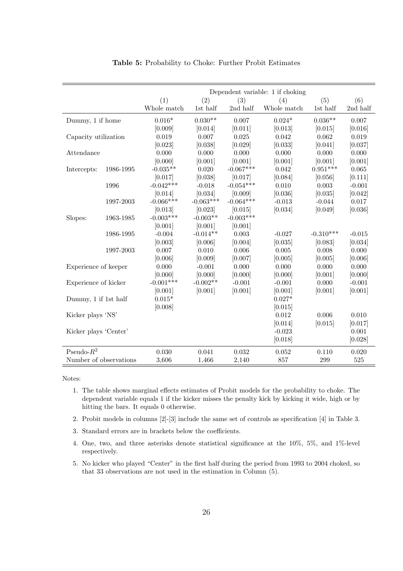|                        |           | Dependent variable: 1 if choking |             |             |             |             |          |
|------------------------|-----------|----------------------------------|-------------|-------------|-------------|-------------|----------|
|                        |           | (1)                              | (2)         | (3)         | (4)         | (5)         | (6)      |
|                        |           | Whole match                      | 1st half    | 2nd half    | Whole match | 1st half    | 2nd half |
| Dummy, 1 if home       |           | $0.016*$                         | $0.030**$   | 0.007       | $0.024*$    | $0.036**$   | 0.007    |
|                        |           | [0.009]                          | [0.014]     | [0.011]     | [0.013]     | [0.015]     | [0.016]  |
| Capacity utilization   |           | 0.019                            | 0.007       | 0.025       | 0.042       | 0.062       | 0.019    |
|                        |           | [0.023]                          | [0.038]     | [0.029]     | [0.033]     | [0.041]     | [0.037]  |
| Attendance             |           | 0.000                            | 0.000       | 0.000       | 0.000       | 0.000       | 0.000    |
|                        |           | [0.000]                          | [0.001]     | [0.001]     | [0.001]     | [0.001]     | [0.001]  |
| Intercepts:            | 1986-1995 | $-0.035**$                       | 0.020       | $-0.067***$ | 0.042       | $0.951***$  | 0.065    |
|                        |           | [0.017]                          | [0.038]     | [0.017]     | [0.084]     | [0.056]     | [0.111]  |
|                        | 1996      | $-0.042***$                      | $-0.018$    | $-0.054***$ | 0.010       | 0.003       | $-0.001$ |
|                        |           | [0.014]                          | [0.034]     | [0.009]     | [0.036]     | [0.035]     | [0.042]  |
|                        | 1997-2003 | $-0.066***$                      | $-0.063***$ | $-0.064***$ | $-0.013$    | $-0.044$    | 0.017    |
|                        |           | [0.013]                          | [0.023]     | [0.015]     | [0.034]     | [0.049]     | [0.036]  |
| Slopes:                | 1963-1985 | $-0.003***$                      | $-0.003**$  | $-0.003***$ |             |             |          |
|                        |           | [0.001]                          | [0.001]     | [0.001]     |             |             |          |
|                        | 1986-1995 | $-0.004$                         | $-0.014**$  | 0.003       | $-0.027$    | $-0.310***$ | $-0.015$ |
|                        |           | [0.003]                          | [0.006]     | [0.004]     | [0.035]     | [0.083]     | [0.034]  |
|                        | 1997-2003 | $0.007\,$                        | 0.010       | 0.006       | $0.005\,$   | 0.008       | 0.000    |
|                        |           | [0.006]                          | [0.009]     | [0.007]     | [0.005]     | [0.005]     | [0.006]  |
| Experience of keeper   |           | $0.000\,$                        | $-0.001$    | 0.000       | 0.000       | 0.000       | 0.000    |
|                        |           | [0.000]                          | [0.000]     | [0.000]     | [0.000]     | [0.001]     | [0.000]  |
| Experience of kicker   |           | $-0.001***$                      | $-0.002**$  | $-0.001$    | $-0.001$    | 0.000       | $-0.001$ |
|                        |           | [0.001]                          | [0.001]     | [0.001]     | [0.001]     | [0.001]     | [0.001]  |
| Dummy, 1 if 1st half   |           | $0.015*$                         |             |             | $0.027*$    |             |          |
|                        |           | [0.008]                          |             |             | [0.015]     |             |          |
| Kicker plays 'NS'      |           |                                  |             |             | 0.012       | 0.006       | 0.010    |
|                        |           |                                  |             |             | [0.014]     | [0.015]     | [0.017]  |
| Kicker plays 'Center'  |           |                                  |             |             | $-0.023$    |             | 0.001    |
|                        |           |                                  |             |             | [0.018]     |             | [0.028]  |
| Pseudo- $\mathbb{R}^2$ |           | 0.030                            | 0.041       | 0.032       | 0.052       | 0.110       | 0.020    |
| Number of observations |           | 3,606                            | 1,466       | 2,140       | 857         | 299         | 525      |

#### **Table 5:** Probability to Choke: Further Probit Estimates

#### Notes:

- 1. The table shows marginal effects estimates of Probit models for the probability to choke. The dependent variable equals 1 if the kicker misses the penalty kick by kicking it wide, high or by hitting the bars. It equals 0 otherwise.
- 2. Probit models in columns [2]-[3] include the same set of controls as specification [4] in Table 3.
- 3. Standard errors are in brackets below the coefficients.
- 4. One, two, and three asterisks denote statistical significance at the 10%, 5%, and 1%-level respectively.
- 5. No kicker who played "Center" in the first half during the period from 1993 to 2004 choked, so that 33 observations are not used in the estimation in Column (5).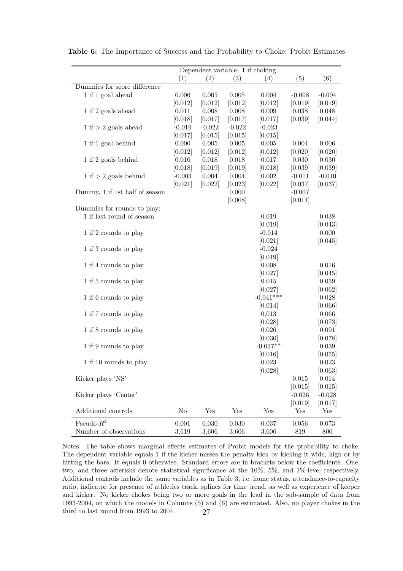|                                | Dependent variable: 1 if choking |          |           |             |          |          |  |
|--------------------------------|----------------------------------|----------|-----------|-------------|----------|----------|--|
|                                | (1)                              | (2)      | (3)       | (4)         | (5)      | (6)      |  |
| Dummies for score difference   |                                  |          |           |             |          |          |  |
| 1 if 1 goal ahead              | 0.006                            | 0.005    | 0.005     | 0.004       | $-0.008$ | $-0.004$ |  |
|                                | [0.012]                          | [0.012]  | [0.012]   | [0.012]     | [0.019]  | [0.019]  |  |
| $1$ if $2$ goals ahead         | 0.011                            | 0.008    | $0.008\,$ | 0.009       | 0.038    | 0.048    |  |
|                                | [0.018]                          | [0.017]  | [0.017]   | [0.017]     | [0.039]  | [0.044]  |  |
| 1 if $> 2$ goals ahead         | $-0.019$                         | $-0.022$ | $-0.022$  | $-0.023$    |          |          |  |
|                                | [0.017]                          | [0.015]  | [0.015]   | [0.015]     |          |          |  |
| 1 if 1 goal behind             | 0.000                            | 0.005    | 0.005     | 0.005       | 0.004    | 0.006    |  |
|                                | [0.012]                          | [0.012]  | [0.012]   | [0.012]     | [0.020]  | [0.020]  |  |
| 1 if 2 goals behind            | 0.010                            | 0.018    | 0.018     | 0.017       | 0.030    | 0.030    |  |
|                                | [0.018]                          | [0.019]  | [0.019]   | [0.018]     | [0.039]  | [0.039]  |  |
| 1 if $> 2$ goals behind        | $-0.003$                         | 0.004    | 0.004     | 0.002       | $-0.011$ | $-0.010$ |  |
|                                | [0.021]                          | [0.022]  | [0.023]   | [0.022]     | [0.037]  | [0.037]  |  |
| Dummy, 1 if 1st half of season |                                  |          | 0.000     |             | $-0.007$ |          |  |
|                                |                                  |          | [0.008]   |             | [0.014]  |          |  |
| Dummies for rounds to play:    |                                  |          |           |             |          |          |  |
| 1 if last round of season      |                                  |          |           | 0.019       |          | 0.038    |  |
|                                |                                  |          |           | [0.019]     |          | [0.043]  |  |
| 1 if 2 rounds to play          |                                  |          |           | $-0.014$    |          | 0.000    |  |
|                                |                                  |          |           | [0.021]     |          | [0.045]  |  |
| 1 if 3 rounds to play          |                                  |          |           | $-0.024$    |          |          |  |
|                                |                                  |          |           | [0.019]     |          |          |  |
| 1 if 4 rounds to play          |                                  |          |           | 0.008       |          | 0.016    |  |
|                                |                                  |          |           | [0.027]     |          | [0.045]  |  |
| 1 if 5 rounds to play          |                                  |          |           | 0.015       |          | 0.039    |  |
|                                |                                  |          |           | [0.027]     |          | [0.062]  |  |
| 1 if 6 rounds to play          |                                  |          |           | $-0.041***$ |          | 0.028    |  |
|                                |                                  |          |           | [0.014]     |          | [0.066]  |  |
| 1 if 7 rounds to play          |                                  |          |           | 0.013       |          | 0.066    |  |
|                                |                                  |          |           | [0.028]     |          | [0.073]  |  |
| 1 if 8 rounds to play          |                                  |          |           | 0.026       |          | 0.091    |  |
|                                |                                  |          |           | [0.030]     |          | [0.078]  |  |
| 1 if 9 rounds to play          |                                  |          |           | $-0.037**$  |          | 0.039    |  |
|                                |                                  |          |           | [0.016]     |          | [0.055]  |  |
| 1 if 10 rounds to play         |                                  |          |           | 0.023       |          | 0.023    |  |
|                                |                                  |          |           | [0.028]     |          | [0.063]  |  |
| Kicker plays 'NS'              |                                  |          |           |             | 0.015    | 0.014    |  |
|                                |                                  |          |           |             | [0.015]  | [0.015]  |  |
| Kicker plays 'Center'          |                                  |          |           |             | $-0.026$ | $-0.028$ |  |
|                                |                                  |          |           |             | [0.019]  | [0.017]  |  |
| Additional controls            | $\rm No$                         | Yes      | Yes       | Yes         | Yes      | Yes      |  |
| Pseudo- $R^2$                  | 0.001                            | 0.030    | $0.030\,$ | 0.037       | 0.056    | 0.073    |  |
| Number of observations         | 3,619                            | 3,606    | 3,606     | 3,606       | $819\,$  | 800      |  |

**Table 6:** The Importance of Success and the Probability to Choke: Probit Estimates

Notes: The table shows marginal effects estimates of Probit models for the probability to choke. The dependent variable equals 1 if the kicker misses the penalty kick by kicking it wide, high or by hitting the bars. It equals 0 otherwise. Standard errors are in brackets below the coefficients. One, two, and three asterisks denote statistical significance at the 10%, 5%, and 1%-level respectively. Additional controls include the same variables as in Table 3, i.e. home status, attendance-to-capacity ratio, indicator for presence of athletics track, splines for time trend, as well as experience of keeper and kicker. No kicker chokes being two or more goals in the lead in the sub-sample of data from 1993-2004, on which the models in Columns (5) and (6) are estimated. Also, no player chokes in the third to last round from 1993 to 2004. 27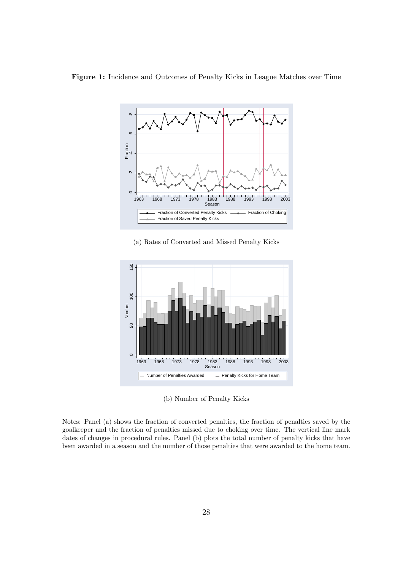**Figure 1:** Incidence and Outcomes of Penalty Kicks in League Matches over Time



(a) Rates of Converted and Missed Penalty Kicks



(b) Number of Penalty Kicks

Notes: Panel (a) shows the fraction of converted penalties, the fraction of penalties saved by the goalkeeper and the fraction of penalties missed due to choking over time. The vertical line mark dates of changes in procedural rules. Panel (b) plots the total number of penalty kicks that have been awarded in a season and the number of those penalties that were awarded to the home team.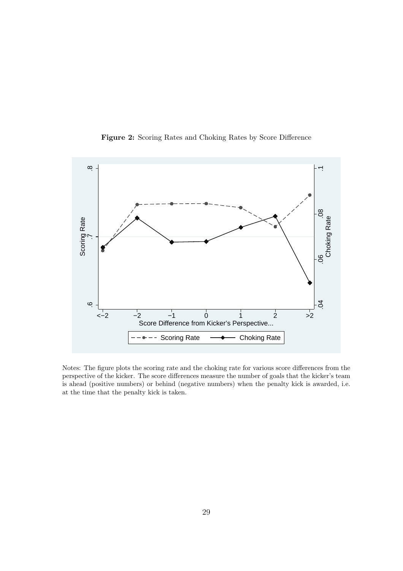

**Figure 2:** Scoring Rates and Choking Rates by Score Difference

Notes: The figure plots the scoring rate and the choking rate for various score differences from the perspective of the kicker. The score differences measure the number of goals that the kicker's team is ahead (positive numbers) or behind (negative numbers) when the penalty kick is awarded, i.e. at the time that the penalty kick is taken.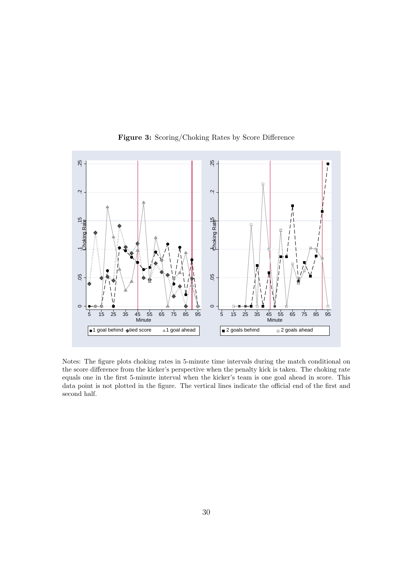

**Figure 3:** Scoring/Choking Rates by Score Difference

Notes: The figure plots choking rates in 5-minute time intervals during the match conditional on the score difference from the kicker's perspective when the penalty kick is taken. The choking rate equals one in the first 5-minute interval when the kicker's team is one goal ahead in score. This data point is not plotted in the figure. The vertical lines indicate the official end of the first and second half.